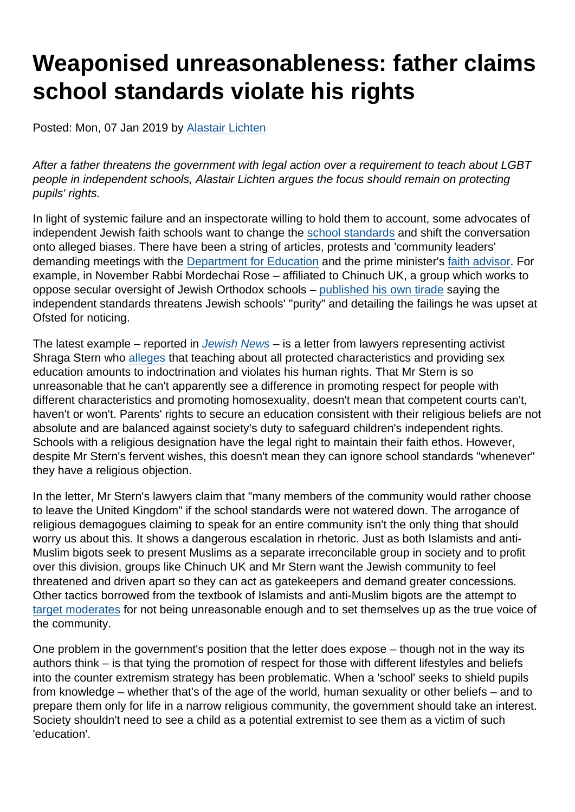# Weaponised unreasonableness: father claims school standards violate his rights

Posted: Mon, 07 Jan 2019 by [Alastair Lichten](https://www.secularism.org.uk/opinion/authors/847)

After a father threatens the government with legal action over a requirement to teach about LGBT people in independent schools, Alastair Lichten argues the focus should remain on protecting pupils' rights.

In light of systemic failure and an inspectorate willing to hold them to account, some advocates of independent Jewish faith schools want to change the [school standards](https://www.secularism.org.uk/news/2018/05/nss-guidance-for-independent-schools-strikes-the-right-balance) and shift the conversation onto alleged biases. There have been a string of articles, protests and 'community leaders' demanding meetings with the [Department for Education](https://www.thejc.com/news/uk-news/charedi-activist-shraga-stern-meets-education-officials-to-voice-concerns-sex-education-1.472366) and the prime minister's [faith advisor.](https://www.thejc.com/education/education-news/charedi-schools-representatives-meet-prime-minister-s-faith-advisor-to-discuss-ofsted-lgbt-deadlock-1.472492) For example, in November Rabbi Mordechai Rose – affiliated to Chinuch UK, a group which works to oppose secular oversight of Jewish Orthodox schools – [published his own tirade](https://www.secularism.org.uk/news/2018/11/government-threatens-jewish-schools-purity-rabbi-claims) saying the independent standards threatens Jewish schools' "purity" and detailing the failings he was upset at Ofsted for noticing.

The latest example – reported in [Jewish News](https://jewishnews.timesofisrael.com/charedi-father-claims-human-rights-violation-over-childrens-sex-education/) – is a letter from lawyers representing activist Shraga Stern who [alleges](https://drive.google.com/file/d/1DSu3AhMBTNqeXI_LpHOFGtZ2NVIGXtjn/view) that teaching about all protected characteristics and providing sex education amounts to indoctrination and violates his human rights. That Mr Stern is so unreasonable that he can't apparently see a difference in promoting respect for people with different characteristics and promoting homosexuality, doesn't mean that competent courts can't, haven't or won't. Parents' rights to secure an education consistent with their religious beliefs are not absolute and are balanced against society's duty to safeguard children's independent rights. Schools with a religious designation have the legal right to maintain their faith ethos. However, despite Mr Stern's fervent wishes, this doesn't mean they can ignore school standards "whenever" they have a religious objection.

In the letter, Mr Stern's lawyers claim that "many members of the community would rather choose to leave the United Kingdom" if the school standards were not watered down. The arrogance of religious demagogues claiming to speak for an entire community isn't the only thing that should worry us about this. It shows a dangerous escalation in rhetoric. Just as both Islamists and anti-Muslim bigots seek to present Muslims as a separate irreconcilable group in society and to profit over this division, groups like Chinuch UK and Mr Stern want the Jewish community to feel threatened and driven apart so they can act as gatekeepers and demand greater concessions. Other tactics borrowed from the textbook of Islamists and anti-Muslim bigots are the attempt to [target moderates](https://www.thejc.com/news/uk-news/charedi-activist-shraga-stern-meets-education-officials-to-voice-concerns-sex-education-1.472366) for not being unreasonable enough and to set themselves up as the true voice of the community.

One problem in the government's position that the letter does expose – though not in the way its authors think – is that tying the promotion of respect for those with different lifestyles and beliefs into the counter extremism strategy has been problematic. When a 'school' seeks to shield pupils from knowledge – whether that's of the age of the world, human sexuality or other beliefs – and to prepare them only for life in a narrow religious community, the government should take an interest. Society shouldn't need to see a child as a potential extremist to see them as a victim of such 'education'.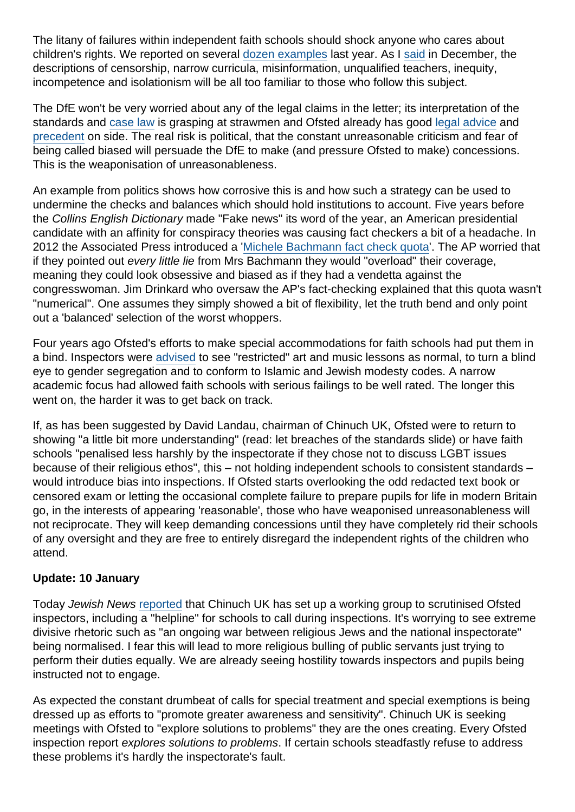The litany of failures within independent faith schools should shock anyone who cares about children's rights. We reported on several [dozen examples](https://www.secularism.org.uk/news/tags/Independent+Schools) last year. As I [said](https://www.secularism.org.uk/news/2018/12/independent-jewish-school-that-censors-resources-warned-by-dfe) in December, the descriptions of censorship, narrow curricula, misinformation, unqualified teachers, inequity, incompetence and isolationism will be all too familiar to those who follow this subject.

The DfE won't be very worried about any of the legal claims in the letter; its interpretation of the standards and [case law](https://www.crin.org/en/library/legal-database/kjeldsen-busk-madsen-and-pedersen-v-denmark) is grasping at strawmen and Ofsted already has good [legal advice](https://www.secularism.org.uk/news/2018/07/nss-welcomes-ofsted-heads-opposition-to-faith-based-exemptions) and [precedent](https://www.casemine.com/judgement/uk/5b35bf9b2c94e01ed2551861) on side. The real risk is political, that the constant unreasonable criticism and fear of being called biased will persuade the DfE to make (and pressure Ofsted to make) concessions. This is the weaponisation of unreasonableness.

An example from politics shows how corrosive this is and how such a strategy can be used to undermine the checks and balances which should hold institutions to account. Five years before the Collins English Dictionary made "Fake news" its word of the year, an American presidential candidate with an affinity for conspiracy theories was causing fact checkers a bit of a headache. In 2012 the Associated Press introduced a '[Michele Bachmann fact check quota](https://www.washingtonpost.com/blogs/erik-wemple/post/ap-editor-cites-bachmann-fact-checking-quota/2012/09/26/ac04901e-07ec-11e2-afff-d6c7f20a83bf_blog.html?utm_term=.25fe6353bb13)'. The AP worried that if they pointed out every little lie from Mrs Bachmann they would "overload" their coverage, meaning they could look obsessive and biased as if they had a vendetta against the congresswoman. Jim Drinkard who oversaw the AP's fact-checking explained that this quota wasn't "numerical". One assumes they simply showed a bit of flexibility, let the truth bend and only point out a 'balanced' selection of the worst whoppers.

Four years ago Ofsted's efforts to make special accommodations for faith schools had put them in a bind. Inspectors were [advised](https://www.secularism.org.uk/news/2014/06/ofsted-guidance-on-inspecting-faith-schools-revels-disturbing-capitulation-to-religious-demands) to see "restricted" art and music lessons as normal, to turn a blind eye to gender segregation and to conform to Islamic and Jewish modesty codes. A narrow academic focus had allowed faith schools with serious failings to be well rated. The longer this went on, the harder it was to get back on track.

If, as has been suggested by David Landau, chairman of Chinuch UK, Ofsted were to return to showing "a little bit more understanding" (read: let breaches of the standards slide) or have faith schools "penalised less harshly by the inspectorate if they chose not to discuss LGBT issues because of their religious ethos", this – not holding independent schools to consistent standards – would introduce bias into inspections. If Ofsted starts overlooking the odd redacted text book or censored exam or letting the occasional complete failure to prepare pupils for life in modern Britain go, in the interests of appearing 'reasonable', those who have weaponised unreasonableness will not reciprocate. They will keep demanding concessions until they have completely rid their schools of any oversight and they are free to entirely disregard the independent rights of the children who attend.

#### Update: 10 January

Today Jewish News [reported](https://jewishnews.timesofisrael.com/orthodox-rabbis-set-up-group-to-examine-ofsted-inspections/) that Chinuch UK has set up a working group to scrutinised Ofsted inspectors, including a "helpline" for schools to call during inspections. It's worrying to see extreme divisive rhetoric such as "an ongoing war between religious Jews and the national inspectorate" being normalised. I fear this will lead to more religious bulling of public servants just trying to perform their duties equally. We are already seeing hostility towards inspectors and pupils being instructed not to engage.

As expected the constant drumbeat of calls for special treatment and special exemptions is being dressed up as efforts to "promote greater awareness and sensitivity". Chinuch UK is seeking meetings with Ofsted to "explore solutions to problems" they are the ones creating. Every Ofsted inspection report explores solutions to problems. If certain schools steadfastly refuse to address these problems it's hardly the inspectorate's fault.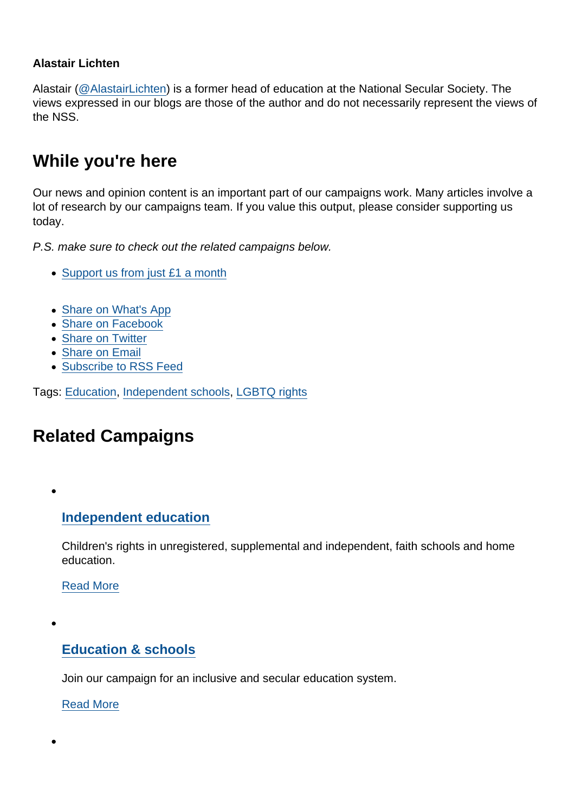#### Alastair Lichten

Alastair [\(@AlastairLichten](https://twitter.com/alastairlichten)) is a former head of education at the National Secular Society. The views expressed in our blogs are those of the author and do not necessarily represent the views of the NSS.

### While you're here

Our news and opinion content is an important part of our campaigns work. Many articles involve a lot of research by our campaigns team. If you value this output, please consider supporting us today.

P.S. make sure to check out the related campaigns below.

- [Support us from just £1 a month](https://www.secularism.org.uk/donate.html)
- [Share on What's App](whatsapp://send?text=http://www.secularism.org.uk/opinion/2019/01/weaponised-unreasonableness-father-claims-school-standards-violate-his-rights?format=pdf)
- [Share on Facebook](https://www.facebook.com/sharer/sharer.php?u=http://www.secularism.org.uk/opinion/2019/01/weaponised-unreasonableness-father-claims-school-standards-violate-his-rights?format=pdf&t=Weaponised+unreasonableness:+father+claims+school+standards+violate+his+rights)
- [Share on Twitter](https://twitter.com/intent/tweet?url=http://www.secularism.org.uk/opinion/2019/01/weaponised-unreasonableness-father-claims-school-standards-violate-his-rights?format=pdf&text=Weaponised+unreasonableness:+father+claims+school+standards+violate+his+rights&via=NatSecSoc)
- [Share on Email](https://www.secularism.org.uk/share.html?url=http://www.secularism.org.uk/opinion/2019/01/weaponised-unreasonableness-father-claims-school-standards-violate-his-rights?format=pdf&title=Weaponised+unreasonableness:+father+claims+school+standards+violate+his+rights)
- [Subscribe to RSS Feed](/mnt/web-data/www/cp-nss/feeds/rss/news)

Tags: [Education,](https://www.secularism.org.uk/opinion/tags/Education) [Independent schools](https://www.secularism.org.uk/opinion/tags/Independent+schools), [LGBTQ rights](https://www.secularism.org.uk/opinion/tags/LGBTQ+rights)

## Related Campaigns

### [Independent education](https://www.secularism.org.uk/independent-education/)

Children's rights in unregistered, supplemental and independent, faith schools and home education.

[Read More](https://www.secularism.org.uk/independent-education/)

[Education & schools](https://www.secularism.org.uk/education/)

Join our campaign for an inclusive and secular education system.

[Read More](https://www.secularism.org.uk/education/)